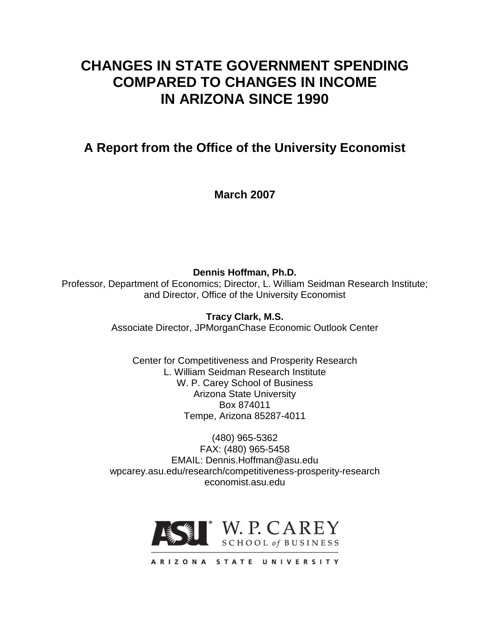# **CHANGES IN STATE GOVERNMENT SPENDING COMPARED TO CHANGES IN INCOME IN ARIZONA SINCE 1990**

**A Report from the Office of the University Economist**

**March 2007**

**Dennis Hoffman, Ph.D.**

Professor, Department of Economics; Director, L. William Seidman Research Institute; and Director, Office of the University Economist

> **Tracy Clark, M.S.** Associate Director, JPMorganChase Economic Outlook Center

Center for Competitiveness and Prosperity Research L. William Seidman Research Institute W. P. Carey School of Business Arizona State University Box 874011 Tempe, Arizona 85287-4011

(480) 965-5362 FAX: (480) 965-5458 EMAIL: Dennis.Hoffman@asu.edu wpcarey.asu.edu/research/competitiveness-prosperity-research economist.asu.edu

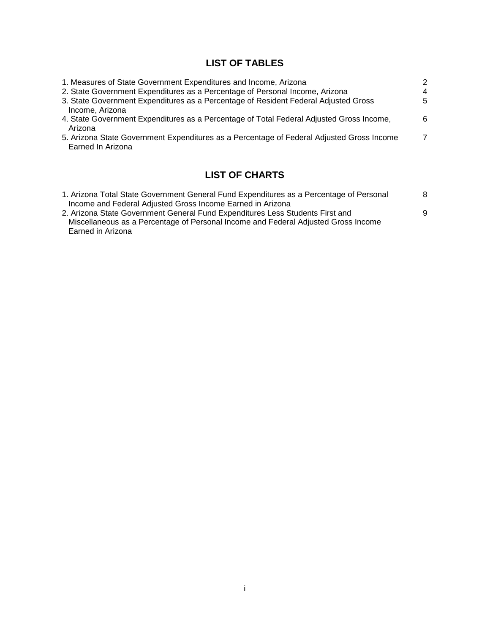# **LIST OF TABLES**

| 1. Measures of State Government Expenditures and Income, Arizona                                               | 2 |
|----------------------------------------------------------------------------------------------------------------|---|
| 2. State Government Expenditures as a Percentage of Personal Income, Arizona                                   | 4 |
| 3. State Government Expenditures as a Percentage of Resident Federal Adjusted Gross<br>Income, Arizona         | 5 |
| 4. State Government Expenditures as a Percentage of Total Federal Adjusted Gross Income,<br>Arizona            | 6 |
| 5. Arizona State Government Expenditures as a Percentage of Federal Adjusted Gross Income<br>Earned In Arizona | 7 |

# **LIST OF CHARTS**

| 1. Arizona Total State Government General Fund Expenditures as a Percentage of Personal | 8 |
|-----------------------------------------------------------------------------------------|---|
| Income and Federal Adjusted Gross Income Earned in Arizona                              |   |
| 2. Arizona State Government General Fund Expenditures Less Students First and           | 9 |
| Miscellaneous as a Percentage of Personal Income and Federal Adjusted Gross Income      |   |
| Earned in Arizona                                                                       |   |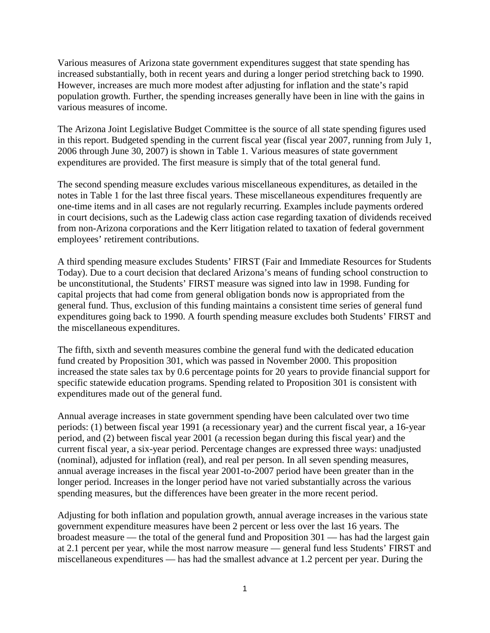Various measures of Arizona state government expenditures suggest that state spending has increased substantially, both in recent years and during a longer period stretching back to 1990. However, increases are much more modest after adjusting for inflation and the state's rapid population growth. Further, the spending increases generally have been in line with the gains in various measures of income.

The Arizona Joint Legislative Budget Committee is the source of all state spending figures used in this report. Budgeted spending in the current fiscal year (fiscal year 2007, running from July 1, 2006 through June 30, 2007) is shown in Table 1. Various measures of state government expenditures are provided. The first measure is simply that of the total general fund.

The second spending measure excludes various miscellaneous expenditures, as detailed in the notes in Table 1 for the last three fiscal years. These miscellaneous expenditures frequently are one-time items and in all cases are not regularly recurring. Examples include payments ordered in court decisions, such as the Ladewig class action case regarding taxation of dividends received from non-Arizona corporations and the Kerr litigation related to taxation of federal government employees' retirement contributions.

A third spending measure excludes Students' FIRST (Fair and Immediate Resources for Students Today). Due to a court decision that declared Arizona's means of funding school construction to be unconstitutional, the Students' FIRST measure was signed into law in 1998. Funding for capital projects that had come from general obligation bonds now is appropriated from the general fund. Thus, exclusion of this funding maintains a consistent time series of general fund expenditures going back to 1990. A fourth spending measure excludes both Students' FIRST and the miscellaneous expenditures.

The fifth, sixth and seventh measures combine the general fund with the dedicated education fund created by Proposition 301, which was passed in November 2000. This proposition increased the state sales tax by 0.6 percentage points for 20 years to provide financial support for specific statewide education programs. Spending related to Proposition 301 is consistent with expenditures made out of the general fund.

Annual average increases in state government spending have been calculated over two time periods: (1) between fiscal year 1991 (a recessionary year) and the current fiscal year, a 16-year period, and (2) between fiscal year 2001 (a recession began during this fiscal year) and the current fiscal year, a six-year period. Percentage changes are expressed three ways: unadjusted (nominal), adjusted for inflation (real), and real per person. In all seven spending measures, annual average increases in the fiscal year 2001-to-2007 period have been greater than in the longer period. Increases in the longer period have not varied substantially across the various spending measures, but the differences have been greater in the more recent period.

Adjusting for both inflation and population growth, annual average increases in the various state government expenditure measures have been 2 percent or less over the last 16 years. The broadest measure — the total of the general fund and Proposition 301 — has had the largest gain at 2.1 percent per year, while the most narrow measure — general fund less Students' FIRST and miscellaneous expenditures — has had the smallest advance at 1.2 percent per year. During the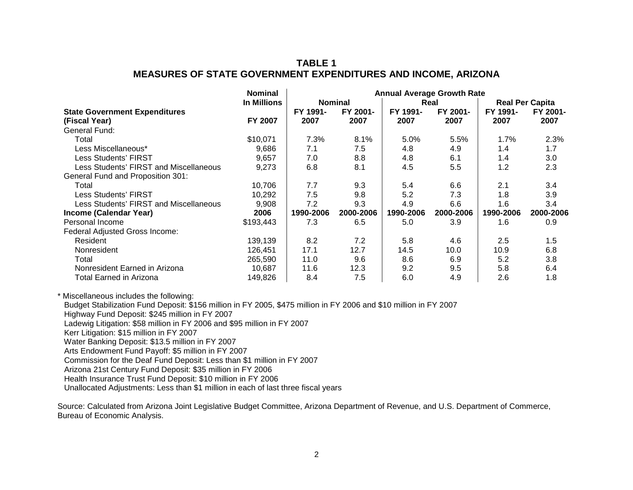## **TABLE 1 MEASURES OF STATE GOVERNMENT EXPENDITURES AND INCOME, ARIZONA**

|                                        | <b>Nominal</b>     | <b>Annual Average Growth Rate</b> |           |           |           |                        |           |
|----------------------------------------|--------------------|-----------------------------------|-----------|-----------|-----------|------------------------|-----------|
|                                        | <b>In Millions</b> | <b>Nominal</b><br>Real            |           |           |           | <b>Real Per Capita</b> |           |
| <b>State Government Expenditures</b>   |                    | FY 1991-                          | FY 2001-  | FY 1991-  | FY 2001-  | FY 1991-               | FY 2001-  |
| (Fiscal Year)                          | <b>FY 2007</b>     | 2007                              | 2007      | 2007      | 2007      | 2007                   | 2007      |
| General Fund:                          |                    |                                   |           |           |           |                        |           |
| Total                                  | \$10,071           | 7.3%                              | 8.1%      | 5.0%      | 5.5%      | 1.7%                   | 2.3%      |
| Less Miscellaneous*                    | 9.686              | 7.1                               | 7.5       | 4.8       | 4.9       | 1.4                    | 1.7       |
| Less Students' FIRST                   | 9,657              | 7.0                               | 8.8       | 4.8       | 6.1       | 1.4                    | 3.0       |
| Less Students' FIRST and Miscellaneous | 9,273              | 6.8                               | 8.1       | 4.5       | 5.5       | 1.2 <sub>2</sub>       | 2.3       |
| General Fund and Proposition 301:      |                    |                                   |           |           |           |                        |           |
| Total                                  | 10,706             | 7.7                               | 9.3       | 5.4       | 6.6       | 2.1                    | 3.4       |
| Less Students' FIRST                   | 10,292             | 7.5                               | 9.8       | 5.2       | 7.3       | 1.8                    | 3.9       |
| Less Students' FIRST and Miscellaneous | 9,908              | 7.2                               | 9.3       | 4.9       | 6.6       | 1.6                    | 3.4       |
| Income (Calendar Year)                 | 2006               | 1990-2006                         | 2000-2006 | 1990-2006 | 2000-2006 | 1990-2006              | 2000-2006 |
| Personal Income                        | \$193,443          | 7.3                               | 6.5       | 5.0       | 3.9       | 1.6                    | 0.9       |
| Federal Adjusted Gross Income:         |                    |                                   |           |           |           |                        |           |
| Resident                               | 139,139            | 8.2                               | 7.2       | 5.8       | 4.6       | 2.5                    | 1.5       |
| Nonresident                            | 126.451            | 17.1                              | 12.7      | 14.5      | 10.0      | 10.9 <sup>°</sup>      | 6.8       |
| Total                                  | 265,590            | 11.0                              | 9.6       | 8.6       | 6.9       | 5.2                    | 3.8       |
| Nonresident Earned in Arizona          | 10,687             | 11.6                              | 12.3      | 9.2       | 9.5       | 5.8                    | 6.4       |
| Total Earned in Arizona                | 149,826            | 8.4                               | 7.5       | 6.0       | 4.9       | 2.6                    | 1.8       |

\* Miscellaneous includes the following:

Budget Stabilization Fund Deposit: \$156 million in FY 2005, \$475 million in FY 2006 and \$10 million in FY 2007

Highway Fund Deposit: \$245 million in FY 2007

Ladewig Litigation: \$58 million in FY 2006 and \$95 million in FY 2007

Kerr Litigation: \$15 million in FY 2007

Water Banking Deposit: \$13.5 million in FY 2007

Arts Endowment Fund Payoff: \$5 million in FY 2007

Commission for the Deaf Fund Deposit: Less than \$1 million in FY 2007

Arizona 21st Century Fund Deposit: \$35 million in FY 2006

Health Insurance Trust Fund Deposit: \$10 million in FY 2006

Unallocated Adjustments: Less than \$1 million in each of last three fiscal years

Source: Calculated from Arizona Joint Legislative Budget Committee, Arizona Department of Revenue, and U.S. Department of Commerce, Bureau of Economic Analysis.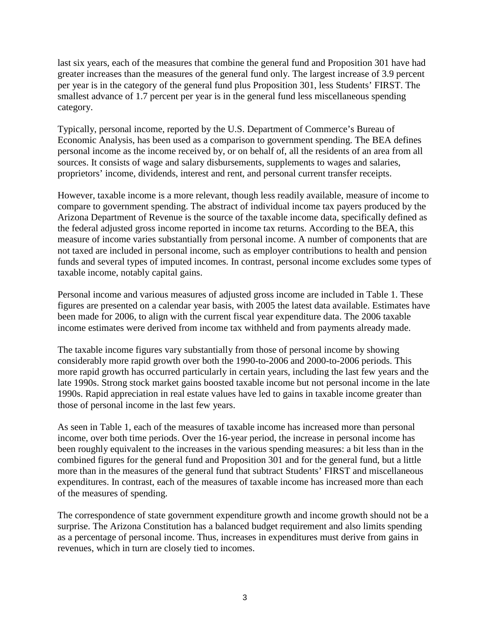last six years, each of the measures that combine the general fund and Proposition 301 have had greater increases than the measures of the general fund only. The largest increase of 3.9 percent per year is in the category of the general fund plus Proposition 301, less Students' FIRST. The smallest advance of 1.7 percent per year is in the general fund less miscellaneous spending category.

Typically, personal income, reported by the U.S. Department of Commerce's Bureau of Economic Analysis, has been used as a comparison to government spending. The BEA defines personal income as the income received by, or on behalf of, all the residents of an area from all sources. It consists of wage and salary disbursements, supplements to wages and salaries, proprietors' income, dividends, interest and rent, and personal current transfer receipts.

However, taxable income is a more relevant, though less readily available, measure of income to compare to government spending. The abstract of individual income tax payers produced by the Arizona Department of Revenue is the source of the taxable income data, specifically defined as the federal adjusted gross income reported in income tax returns. According to the BEA, this measure of income varies substantially from personal income. A number of components that are not taxed are included in personal income, such as employer contributions to health and pension funds and several types of imputed incomes. In contrast, personal income excludes some types of taxable income, notably capital gains.

Personal income and various measures of adjusted gross income are included in Table 1. These figures are presented on a calendar year basis, with 2005 the latest data available. Estimates have been made for 2006, to align with the current fiscal year expenditure data. The 2006 taxable income estimates were derived from income tax withheld and from payments already made.

The taxable income figures vary substantially from those of personal income by showing considerably more rapid growth over both the 1990-to-2006 and 2000-to-2006 periods. This more rapid growth has occurred particularly in certain years, including the last few years and the late 1990s. Strong stock market gains boosted taxable income but not personal income in the late 1990s. Rapid appreciation in real estate values have led to gains in taxable income greater than those of personal income in the last few years.

As seen in Table 1, each of the measures of taxable income has increased more than personal income, over both time periods. Over the 16-year period, the increase in personal income has been roughly equivalent to the increases in the various spending measures: a bit less than in the combined figures for the general fund and Proposition 301 and for the general fund, but a little more than in the measures of the general fund that subtract Students' FIRST and miscellaneous expenditures. In contrast, each of the measures of taxable income has increased more than each of the measures of spending.

The correspondence of state government expenditure growth and income growth should not be a surprise. The Arizona Constitution has a balanced budget requirement and also limits spending as a percentage of personal income. Thus, increases in expenditures must derive from gains in revenues, which in turn are closely tied to incomes.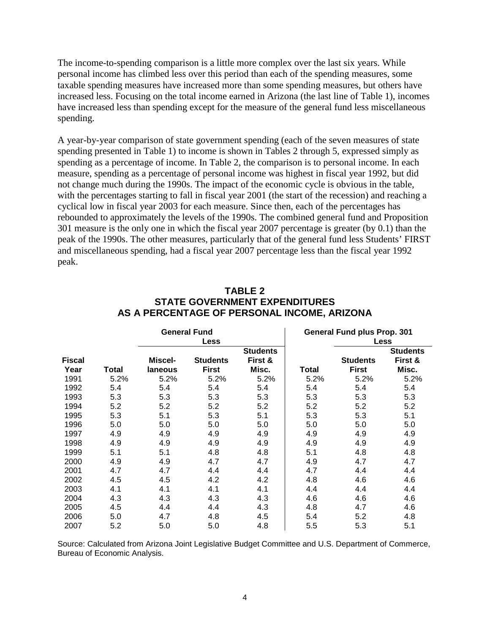The income-to-spending comparison is a little more complex over the last six years. While personal income has climbed less over this period than each of the spending measures, some taxable spending measures have increased more than some spending measures, but others have increased less. Focusing on the total income earned in Arizona (the last line of Table 1), incomes have increased less than spending except for the measure of the general fund less miscellaneous spending.

A year-by-year comparison of state government spending (each of the seven measures of state spending presented in Table 1) to income is shown in Tables 2 through 5, expressed simply as spending as a percentage of income. In Table 2, the comparison is to personal income. In each measure, spending as a percentage of personal income was highest in fiscal year 1992, but did not change much during the 1990s. The impact of the economic cycle is obvious in the table, with the percentages starting to fall in fiscal year 2001 (the start of the recession) and reaching a cyclical low in fiscal year 2003 for each measure. Since then, each of the percentages has rebounded to approximately the levels of the 1990s. The combined general fund and Proposition 301 measure is the only one in which the fiscal year 2007 percentage is greater (by 0.1) than the peak of the 1990s. The other measures, particularly that of the general fund less Students' FIRST and miscellaneous spending, had a fiscal year 2007 percentage less than the fiscal year 1992 peak.

| <b>General Fund</b> |       |         |                 |                 |       | <b>General Fund plus Prop. 301</b> |                 |  |  |
|---------------------|-------|---------|-----------------|-----------------|-------|------------------------------------|-----------------|--|--|
|                     |       |         | Less            |                 |       | <b>Less</b>                        |                 |  |  |
|                     |       |         |                 | <b>Students</b> |       |                                    | <b>Students</b> |  |  |
| <b>Fiscal</b>       |       | Miscel- | <b>Students</b> | First &         |       | <b>Students</b>                    | First &         |  |  |
| Year                | Total | laneous | <b>First</b>    | Misc.           | Total | <b>First</b>                       | Misc.           |  |  |
| 1991                | 5.2%  | 5.2%    | 5.2%            | 5.2%            | 5.2%  | 5.2%                               | 5.2%            |  |  |
| 1992                | 5.4   | 5.4     | 5.4             | 5.4             | 5.4   | 5.4                                | 5.4             |  |  |
| 1993                | 5.3   | 5.3     | 5.3             | 5.3             | 5.3   | 5.3                                | 5.3             |  |  |
| 1994                | 5.2   | 5.2     | 5.2             | 5.2             | 5.2   | 5.2                                | 5.2             |  |  |
| 1995                | 5.3   | 5.1     | 5.3             | 5.1             | 5.3   | 5.3                                | 5.1             |  |  |
| 1996                | 5.0   | 5.0     | 5.0             | 5.0             | 5.0   | 5.0                                | 5.0             |  |  |
| 1997                | 4.9   | 4.9     | 4.9             | 4.9             | 4.9   | 4.9                                | 4.9             |  |  |
| 1998                | 4.9   | 4.9     | 4.9             | 4.9             | 4.9   | 4.9                                | 4.9             |  |  |
| 1999                | 5.1   | 5.1     | 4.8             | 4.8             | 5.1   | 4.8                                | 4.8             |  |  |
| 2000                | 4.9   | 4.9     | 4.7             | 4.7             | 4.9   | 4.7                                | 4.7             |  |  |
| 2001                | 4.7   | 4.7     | 4.4             | 4.4             | 4.7   | 4.4                                | 4.4             |  |  |
| 2002                | 4.5   | 4.5     | 4.2             | 4.2             | 4.8   | 4.6                                | 4.6             |  |  |
| 2003                | 4.1   | 4.1     | 4.1             | 4.1             | 4.4   | 4.4                                | 4.4             |  |  |
| 2004                | 4.3   | 4.3     | 4.3             | 4.3             | 4.6   | 4.6                                | 4.6             |  |  |
| 2005                | 4.5   | 4.4     | 4.4             | 4.3             | 4.8   | 4.7                                | 4.6             |  |  |
| 2006                | 5.0   | 4.7     | 4.8             | 4.5             | 5.4   | 5.2                                | 4.8             |  |  |
| 2007                | 5.2   | 5.0     | 5.0             | 4.8             | 5.5   | 5.3                                | 5.1             |  |  |

#### **TABLE 2 STATE GOVERNMENT EXPENDITURES AS A PERCENTAGE OF PERSONAL INCOME, ARIZONA**

Source: Calculated from Arizona Joint Legislative Budget Committee and U.S. Department of Commerce, Bureau of Economic Analysis.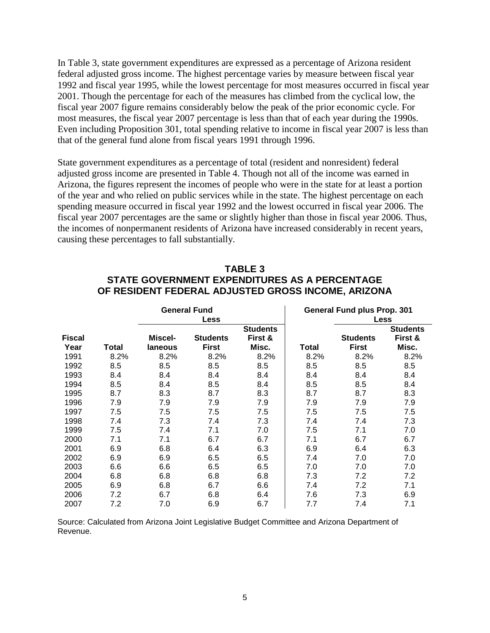In Table 3, state government expenditures are expressed as a percentage of Arizona resident federal adjusted gross income. The highest percentage varies by measure between fiscal year 1992 and fiscal year 1995, while the lowest percentage for most measures occurred in fiscal year 2001. Though the percentage for each of the measures has climbed from the cyclical low, the fiscal year 2007 figure remains considerably below the peak of the prior economic cycle. For most measures, the fiscal year 2007 percentage is less than that of each year during the 1990s. Even including Proposition 301, total spending relative to income in fiscal year 2007 is less than that of the general fund alone from fiscal years 1991 through 1996.

State government expenditures as a percentage of total (resident and nonresident) federal adjusted gross income are presented in Table 4. Though not all of the income was earned in Arizona, the figures represent the incomes of people who were in the state for at least a portion of the year and who relied on public services while in the state. The highest percentage on each spending measure occurred in fiscal year 1992 and the lowest occurred in fiscal year 2006. The fiscal year 2007 percentages are the same or slightly higher than those in fiscal year 2006. Thus, the incomes of nonpermanent residents of Arizona have increased considerably in recent years, causing these percentages to fall substantially.

#### **TABLE 3 STATE GOVERNMENT EXPENDITURES AS A PERCENTAGE OF RESIDENT FEDERAL ADJUSTED GROSS INCOME, ARIZONA**

|               |       |         | <b>General Fund</b> |                 | <b>General Fund plus Prop. 301</b> |                 |                 |
|---------------|-------|---------|---------------------|-----------------|------------------------------------|-----------------|-----------------|
|               |       |         | <b>Less</b>         |                 | Less                               |                 |                 |
|               |       |         |                     | <b>Students</b> |                                    |                 | <b>Students</b> |
| <b>Fiscal</b> |       | Miscel- | <b>Students</b>     | First &         |                                    | <b>Students</b> | First &         |
| Year          | Total | laneous | <b>First</b>        | Misc.           | Total                              | <b>First</b>    | Misc.           |
| 1991          | 8.2%  | 8.2%    | 8.2%                | 8.2%            | 8.2%                               | 8.2%            | 8.2%            |
| 1992          | 8.5   | 8.5     | 8.5                 | 8.5             | 8.5                                | 8.5             | 8.5             |
| 1993          | 8.4   | 8.4     | 8.4                 | 8.4             | 8.4                                | 8.4             | 8.4             |
| 1994          | 8.5   | 8.4     | 8.5                 | 8.4             | 8.5                                | 8.5             | 8.4             |
| 1995          | 8.7   | 8.3     | 8.7                 | 8.3             | 8.7                                | 8.7             | 8.3             |
| 1996          | 7.9   | 7.9     | 7.9                 | 7.9             | 7.9                                | 7.9             | 7.9             |
| 1997          | 7.5   | 7.5     | 7.5                 | 7.5             | 7.5                                | 7.5             | 7.5             |
| 1998          | 7.4   | 7.3     | 7.4                 | 7.3             | 7.4                                | 7.4             | 7.3             |
| 1999          | 7.5   | 7.4     | 7.1                 | 7.0             | 7.5                                | 7.1             | 7.0             |
| 2000          | 7.1   | 7.1     | 6.7                 | 6.7             | 7.1                                | 6.7             | 6.7             |
| 2001          | 6.9   | 6.8     | 6.4                 | 6.3             | 6.9                                | 6.4             | 6.3             |
| 2002          | 6.9   | 6.9     | 6.5                 | 6.5             | 7.4                                | 7.0             | 7.0             |
| 2003          | 6.6   | 6.6     | 6.5                 | 6.5             | 7.0                                | 7.0             | 7.0             |
| 2004          | 6.8   | 6.8     | 6.8                 | 6.8             | 7.3                                | 7.2             | 7.2             |
| 2005          | 6.9   | 6.8     | 6.7                 | 6.6             | 7.4                                | 7.2             | 7.1             |
| 2006          | 7.2   | 6.7     | 6.8                 | 6.4             | 7.6                                | 7.3             | 6.9             |
| 2007          | 7.2   | 7.0     | 6.9                 | 6.7             | 7.7                                | 7.4             | 7.1             |

Source: Calculated from Arizona Joint Legislative Budget Committee and Arizona Department of Revenue.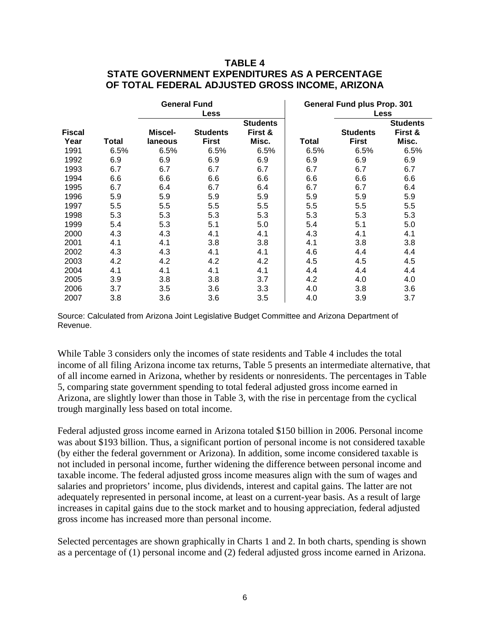#### **TABLE 4 STATE GOVERNMENT EXPENDITURES AS A PERCENTAGE OF TOTAL FEDERAL ADJUSTED GROSS INCOME, ARIZONA**

|               |       |         | <b>General Fund</b> |                 | <b>General Fund plus Prop. 301</b> |                 |                 |
|---------------|-------|---------|---------------------|-----------------|------------------------------------|-----------------|-----------------|
|               |       |         | <b>Less</b>         |                 |                                    | <b>Less</b>     |                 |
|               |       |         |                     | <b>Students</b> |                                    |                 | <b>Students</b> |
| <b>Fiscal</b> |       | Miscel- | <b>Students</b>     | First &         |                                    | <b>Students</b> | First &         |
| Year          | Total | laneous | <b>First</b>        | Misc.           | Total                              | <b>First</b>    | Misc.           |
| 1991          | 6.5%  | 6.5%    | 6.5%                | 6.5%            | 6.5%                               | 6.5%            | 6.5%            |
| 1992          | 6.9   | 6.9     | 6.9                 | 6.9             | 6.9                                | 6.9             | 6.9             |
| 1993          | 6.7   | 6.7     | 6.7                 | 6.7             | 6.7                                | 6.7             | 6.7             |
| 1994          | 6.6   | 6.6     | 6.6                 | 6.6             | 6.6                                | 6.6             | 6.6             |
| 1995          | 6.7   | 6.4     | 6.7                 | 6.4             | 6.7                                | 6.7             | 6.4             |
| 1996          | 5.9   | 5.9     | 5.9                 | 5.9             | 5.9                                | 5.9             | 5.9             |
| 1997          | 5.5   | 5.5     | 5.5                 | 5.5             | 5.5                                | 5.5             | 5.5             |
| 1998          | 5.3   | 5.3     | 5.3                 | 5.3             | 5.3                                | 5.3             | 5.3             |
| 1999          | 5.4   | 5.3     | 5.1                 | 5.0             | 5.4                                | 5.1             | 5.0             |
| 2000          | 4.3   | 4.3     | 4.1                 | 4.1             | 4.3                                | 4.1             | 4.1             |
| 2001          | 4.1   | 4.1     | 3.8                 | 3.8             | 4.1                                | 3.8             | 3.8             |
| 2002          | 4.3   | 4.3     | 4.1                 | 4.1             | 4.6                                | 4.4             | 4.4             |
| 2003          | 4.2   | 4.2     | 4.2                 | 4.2             | 4.5                                | 4.5             | 4.5             |
| 2004          | 4.1   | 4.1     | 4.1                 | 4.1             | 4.4                                | 4.4             | 4.4             |
| 2005          | 3.9   | 3.8     | 3.8                 | 3.7             | 4.2                                | 4.0             | 4.0             |
| 2006          | 3.7   | 3.5     | 3.6                 | 3.3             | 4.0                                | 3.8             | 3.6             |
| 2007          | 3.8   | 3.6     | 3.6                 | 3.5             | 4.0                                | 3.9             | 3.7             |

Source: Calculated from Arizona Joint Legislative Budget Committee and Arizona Department of Revenue.

While Table 3 considers only the incomes of state residents and Table 4 includes the total income of all filing Arizona income tax returns, Table 5 presents an intermediate alternative, that of all income earned in Arizona, whether by residents or nonresidents. The percentages in Table 5, comparing state government spending to total federal adjusted gross income earned in Arizona, are slightly lower than those in Table 3, with the rise in percentage from the cyclical trough marginally less based on total income.

Federal adjusted gross income earned in Arizona totaled \$150 billion in 2006. Personal income was about \$193 billion. Thus, a significant portion of personal income is not considered taxable (by either the federal government or Arizona). In addition, some income considered taxable is not included in personal income, further widening the difference between personal income and taxable income. The federal adjusted gross income measures align with the sum of wages and salaries and proprietors' income, plus dividends, interest and capital gains. The latter are not adequately represented in personal income, at least on a current-year basis. As a result of large increases in capital gains due to the stock market and to housing appreciation, federal adjusted gross income has increased more than personal income.

Selected percentages are shown graphically in Charts 1 and 2. In both charts, spending is shown as a percentage of (1) personal income and (2) federal adjusted gross income earned in Arizona.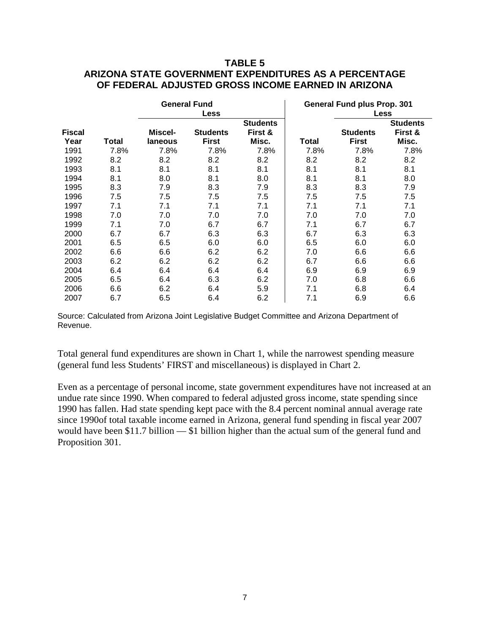#### **TABLE 5 ARIZONA STATE GOVERNMENT EXPENDITURES AS A PERCENTAGE OF FEDERAL ADJUSTED GROSS INCOME EARNED IN ARIZONA**

|               |       |         | <b>General Fund</b> |                 | <b>General Fund plus Prop. 301</b> |                 |                 |
|---------------|-------|---------|---------------------|-----------------|------------------------------------|-----------------|-----------------|
|               |       |         | <b>Less</b>         |                 |                                    | <b>Less</b>     |                 |
|               |       |         |                     | <b>Students</b> |                                    |                 | <b>Students</b> |
| <b>Fiscal</b> |       | Miscel- | <b>Students</b>     | First &         |                                    | <b>Students</b> | First &         |
| Year          | Total | laneous | <b>First</b>        | Misc.           | Total                              | <b>First</b>    | Misc.           |
| 1991          | 7.8%  | 7.8%    | 7.8%                | 7.8%            | 7.8%                               | 7.8%            | 7.8%            |
| 1992          | 8.2   | 8.2     | 8.2                 | 8.2             | 8.2                                | 8.2             | 8.2             |
| 1993          | 8.1   | 8.1     | 8.1                 | 8.1             | 8.1                                | 8.1             | 8.1             |
| 1994          | 8.1   | 8.0     | 8.1                 | 8.0             | 8.1                                | 8.1             | 8.0             |
| 1995          | 8.3   | 7.9     | 8.3                 | 7.9             | 8.3                                | 8.3             | 7.9             |
| 1996          | 7.5   | 7.5     | 7.5                 | 7.5             | 7.5                                | 7.5             | 7.5             |
| 1997          | 7.1   | 7.1     | 7.1                 | 7.1             | 7.1                                | 7.1             | 7.1             |
| 1998          | 7.0   | 7.0     | 7.0                 | 7.0             | 7.0                                | 7.0             | 7.0             |
| 1999          | 7.1   | 7.0     | 6.7                 | 6.7             | 7.1                                | 6.7             | 6.7             |
| 2000          | 6.7   | 6.7     | 6.3                 | 6.3             | 6.7                                | 6.3             | 6.3             |
| 2001          | 6.5   | 6.5     | 6.0                 | 6.0             | 6.5                                | 6.0             | 6.0             |
| 2002          | 6.6   | 6.6     | 6.2                 | 6.2             | 7.0                                | 6.6             | 6.6             |
| 2003          | 6.2   | 6.2     | 6.2                 | 6.2             | 6.7                                | 6.6             | 6.6             |
| 2004          | 6.4   | 6.4     | 6.4                 | 6.4             | 6.9                                | 6.9             | 6.9             |
| 2005          | 6.5   | 6.4     | 6.3                 | 6.2             | 7.0                                | 6.8             | 6.6             |
| 2006          | 6.6   | 6.2     | 6.4                 | 5.9             | 7.1                                | 6.8             | 6.4             |
| 2007          | 6.7   | 6.5     | 6.4                 | 6.2             | 7.1                                | 6.9             | 6.6             |

Source: Calculated from Arizona Joint Legislative Budget Committee and Arizona Department of Revenue.

Total general fund expenditures are shown in Chart 1, while the narrowest spending measure (general fund less Students' FIRST and miscellaneous) is displayed in Chart 2.

Even as a percentage of personal income, state government expenditures have not increased at an undue rate since 1990. When compared to federal adjusted gross income, state spending since 1990 has fallen. Had state spending kept pace with the 8.4 percent nominal annual average rate since 1990of total taxable income earned in Arizona, general fund spending in fiscal year 2007 would have been \$11.7 billion — \$1 billion higher than the actual sum of the general fund and Proposition 301.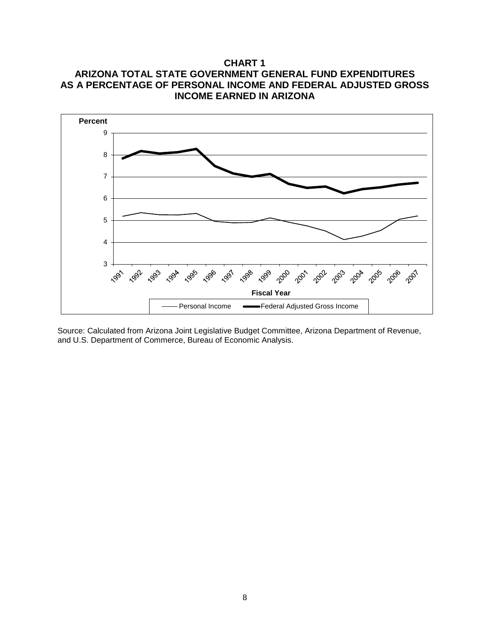## **CHART 1 ARIZONA TOTAL STATE GOVERNMENT GENERAL FUND EXPENDITURES AS A PERCENTAGE OF PERSONAL INCOME AND FEDERAL ADJUSTED GROSS INCOME EARNED IN ARIZONA**



Source: Calculated from Arizona Joint Legislative Budget Committee, Arizona Department of Revenue, and U.S. Department of Commerce, Bureau of Economic Analysis.